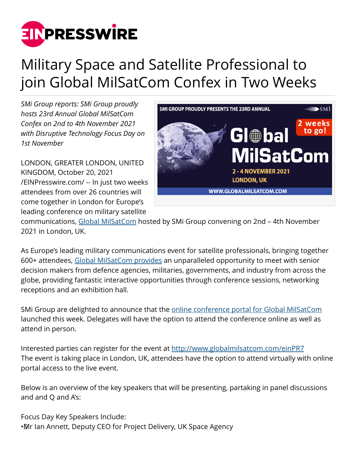

## Military Space and Satellite Professional to join Global MilSatCom Confex in Two Weeks

*SMi Group reports: SMi Group proudly hosts 23rd Annual Global MilSatCom Confex on 2nd to 4th November 2021 with Disruptive Technology Focus Day on 1st November*

LONDON, GREATER LONDON, UNITED KINGDOM, October 20, 2021 [/EINPresswire.com/](http://www.einpresswire.com) -- In just two weeks attendees from over 26 countries will come together in London for Europe's leading conference on military satellite



communications, [Global MilSatCom](http://www.globalmilsatcom.com/einPR7) hosted by SMi Group convening on 2nd – 4th November 2021 in London, UK.

As Europe's leading military communications event for satellite professionals, bringing together 600+ attendees, [Global MilSatCom provides](http://www.globalmilsatcom.com/einPR7) an unparalleled opportunity to meet with senior decision makers from defence agencies, militaries, governments, and industry from across the globe, providing fantastic interactive opportunities through conference sessions, networking receptions and an exhibition hall.

SMi Group are delighted to announce that the [online conference portal for Global MilSatCom](http://www.globalmilsatcom.com/einPR7) launched this week. Delegates will have the option to attend the conference online as well as attend in person.

Interested parties can register for the event at<http://www.globalmilsatcom.com/einPR7> The event is taking place in London, UK, attendees have the option to attend virtually with online portal access to the live event.

Below is an overview of the key speakers that will be presenting, partaking in panel discussions and and Q and A's:

Focus Day Key Speakers Include: • Mr Ian Annett, Deputy CEO for Project Delivery, UK Space Agency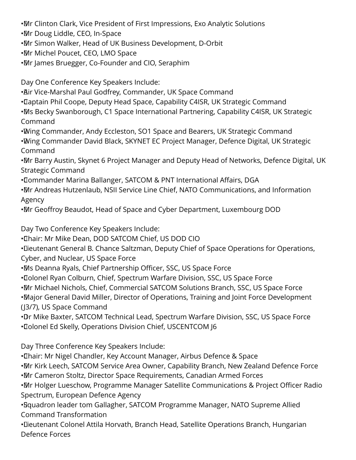• Mr Clinton Clark, Vice President of First Impressions, Exo Analytic Solutions

• Mr Doug Liddle, CEO, In-Space

• Mr Simon Walker, Head of UK Business Development, D-Orbit

• Mr Michel Poucet, CEO, LMO Space

• Mr James Bruegger, Co-Founder and CIO, Seraphim

Day One Conference Key Speakers Include:

• Air Vice-Marshal Paul Godfrey, Commander, UK Space Command

• Captain Phil Coope, Deputy Head Space, Capability C4ISR, UK Strategic Command

• Ms Becky Swanborough, C1 Space International Partnering, Capability C4ISR, UK Strategic Command

• Wing Commander, Andy Eccleston, SO1 Space and Bearers, UK Strategic Command • Wing Commander David Black, SKYNET EC Project Manager, Defence Digital, UK Strategic Command

• Mr Barry Austin, Skynet 6 Project Manager and Deputy Head of Networks, Defence Digital, UK Strategic Command

• Commander Marina Ballanger, SATCOM & PNT International Affairs, DGA

• Mr Andreas Hutzenlaub, NSII Service Line Chief, NATO Communications, and Information Agency

• Mr Geoffroy Beaudot, Head of Space and Cyber Department, Luxembourg DOD

Day Two Conference Key Speakers Include:

• Chair: Mr Mike Dean, DOD SATCOM Chief, US DOD CIO

• Lieutenant General B. Chance Saltzman, Deputy Chief of Space Operations for Operations, Cyber, and Nuclear, US Space Force

• Ms Deanna Ryals, Chief Partnership Officer, SSC, US Space Force

• Colonel Ryan Colburn, Chief, Spectrum Warfare Division, SSC, US Space Force

• Mr Michael Nichols, Chief, Commercial SATCOM Solutions Branch, SSC, US Space Force

• Major General David Miller, Director of Operations, Training and Joint Force Development (J3/7), US Space Command

•Dr Mike Baxter, SATCOM Technical Lead, Spectrum Warfare Division, SSC, US Space Force • Colonel Ed Skelly, Operations Division Chief, USCENTCOM J6

Day Three Conference Key Speakers Include:

• Chair: Mr Nigel Chandler, Key Account Manager, Airbus Defence & Space

• Mr Kirk Leech, SATCOM Service Area Owner, Capability Branch, New Zealand Defence Force

• Mr Cameron Stoltz, Director Space Requirements, Canadian Armed Forces

• Mr Holger Lueschow, Programme Manager Satellite Communications & Project Officer Radio Spectrum, European Defence Agency

• Squadron leader tom Gallagher, SATCOM Programme Manager, NATO Supreme Allied Command Transformation

• Lieutenant Colonel Attila Horvath, Branch Head, Satellite Operations Branch, Hungarian Defence Forces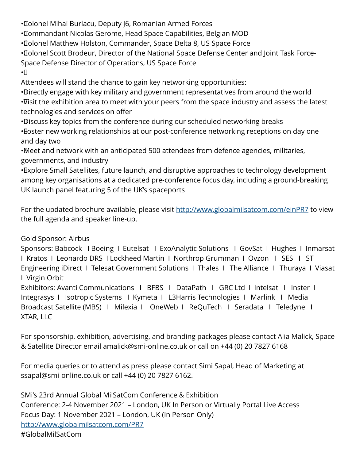• Colonel Mihai Burlacu, Deputy J6, Romanian Armed Forces

• Commandant Nicolas Gerome, Head Space Capabilities, Belgian MOD

• Colonel Matthew Holston, Commander, Space Delta 8, US Space Force

• Colonel Scott Brodeur, Director of the National Space Defense Center and Joint Task Force-Space Defense Director of Operations, US Space Force

 $\cdot$ 

Attendees will stand the chance to gain key networking opportunities:

• Directly engage with key military and government representatives from around the world • Visit the exhibition area to meet with your peers from the space industry and assess the latest technologies and services on offer

• Discuss key topics from the conference during our scheduled networking breaks

• Boster new working relationships at our post-conference networking receptions on day one and day two

• Meet and network with an anticipated 500 attendees from defence agencies, militaries, governments, and industry

• Explore Small Satellites, future launch, and disruptive approaches to technology development among key organisations at a dedicated pre-conference focus day, including a ground-breaking UK launch panel featuring 5 of the UK's spaceports

For the updated brochure available, please visit <http://www.globalmilsatcom.com/einPR7>to view the full agenda and speaker line-up.

## Gold Sponsor: Airbus

Sponsors: Babcock I Boeing I Eutelsat I ExoAnalytic Solutions I GovSat I Hughes I Inmarsat I Kratos I Leonardo DRS I Lockheed Martin I Northrop Grumman I Ovzon I SES I ST Engineering iDirect I Telesat Government Solutions I Thales I The Alliance I Thuraya I Viasat I Virgin Orbit

Exhibitors: Avanti Communications I BFBS I DataPath I GRC Ltd I Intelsat I Inster I Integrasys I Isotropic Systems I Kymeta I L3Harris Technologies I Marlink I Media Broadcast Satellite (MBS) I Milexia I OneWeb I ReQuTech I Seradata I Teledyne I XTAR, LLC

For sponsorship, exhibition, advertising, and branding packages please contact Alia Malick, Space & Satellite Director email amalick@smi-online.co.uk or call on +44 (0) 20 7827 6168

For media queries or to attend as press please contact Simi Sapal, Head of Marketing at ssapal@smi-online.co.uk or call +44 (0) 20 7827 6162.

SMi's 23rd Annual Global MilSatCom Conference & Exhibition Conference: 2-4 November 2021 – London, UK In Person or Virtually Portal Live Access Focus Day: 1 November 2021 – London, UK (In Person Only) <http://www.globalmilsatcom.com/PR7> #GlobalMilSatCom